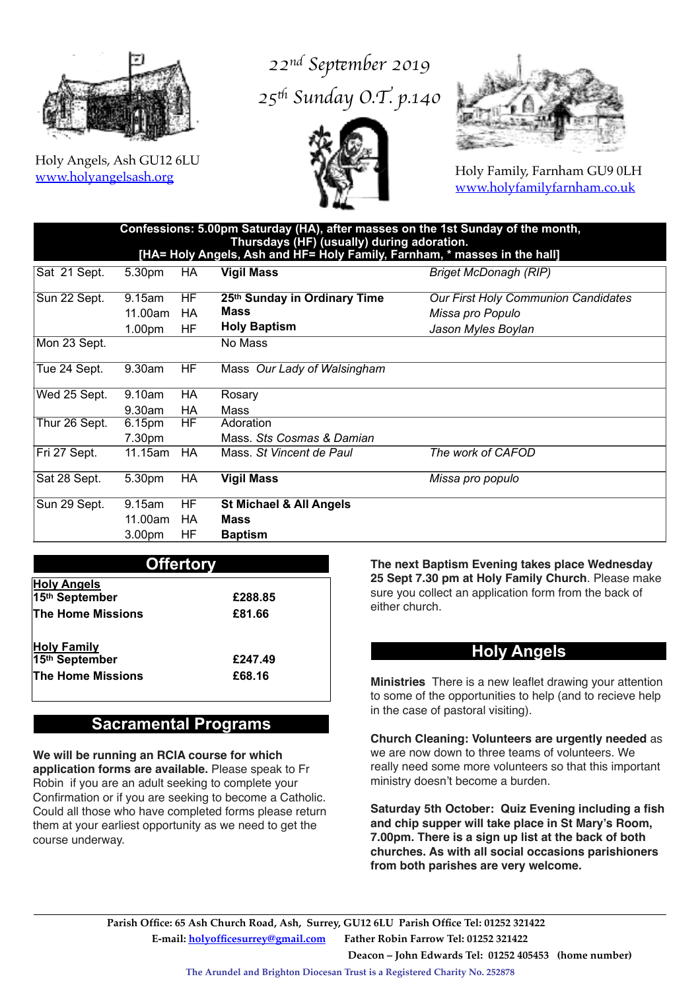

Holy Angels, Ash GU12 6LU [www.holyangelsash.org](http://www.holyangelsash.org)

# *22nd Sep*t*mber 2019* 25<sup>th</sup> Sunday O.T. p.140





Holy Family, Farnham GU9 0LH [www.holyfamilyfarnham.co.uk](http://www.holyfamilyfarnham.co.uk)

| ˈConfessions: 5.00pm Saturday (HA), after masses on the 1st Sunday of the month, , |  |  |
|------------------------------------------------------------------------------------|--|--|
| Thursdays (HF) (usually) during adoration.                                         |  |  |
| [HA= Holy Angels, Ash and HF= Holy Family, Farnham, * masses in the hall]          |  |  |
|                                                                                    |  |  |

| Sat 21 Sept.  | 5.30pm             | HA  | <b>Vigil Mass</b>                  | <b>Briget McDonagh (RIP)</b>        |
|---------------|--------------------|-----|------------------------------------|-------------------------------------|
| Sun 22 Sept.  | 9.15am             | HF  | 25th Sunday in Ordinary Time       | Our First Holy Communion Candidates |
|               | 11.00am            | HA  | Mass                               | Missa pro Populo                    |
|               | 1.00 <sub>pm</sub> | HF  | <b>Holy Baptism</b>                | Jason Myles Boylan                  |
| Mon 23 Sept.  |                    |     | No Mass                            |                                     |
| Tue 24 Sept.  | $9.30$ am          | HF. | Mass Our Lady of Walsingham        |                                     |
| Wed 25 Sept.  | 9.10am             | HA  | Rosary                             |                                     |
|               | $9.30$ am          | HA  | Mass                               |                                     |
| Thur 26 Sept. | 6.15pm             | HF  | Adoration                          |                                     |
|               | 7.30pm             |     | Mass. Sts Cosmas & Damian          |                                     |
| Fri 27 Sept.  | 11.15am            | HA  | Mass. St Vincent de Paul           | The work of CAFOD                   |
| Sat 28 Sept.  | 5.30pm             | HA  | <b>Vigil Mass</b>                  | Missa pro populo                    |
| Sun 29 Sept.  | 9.15am             | HF  | <b>St Michael &amp; All Angels</b> |                                     |
|               | 11.00am            | HA  | <b>Mass</b>                        |                                     |
|               | 3.00 <sub>pm</sub> | HF  | <b>Baptism</b>                     |                                     |

| <b>Offertory</b>                     |         |  |  |  |
|--------------------------------------|---------|--|--|--|
| <b>Holy Angels</b><br>15th September | £288.85 |  |  |  |
| The Home Missions                    | £81.66  |  |  |  |
| <b>Holy Family</b>                   |         |  |  |  |
| 15th September                       | £247.49 |  |  |  |
| The Home Missions                    | £68.16  |  |  |  |

## **Sacramental Programs**

**We will be running an RCIA course for which application forms are available.** Please speak to Fr Robin if you are an adult seeking to complete your Confirmation or if you are seeking to become a Catholic. Could all those who have completed forms please return them at your earliest opportunity as we need to get the course underway.

**The next Baptism Evening takes place Wednesday 25 Sept 7.30 pm at Holy Family Church**. Please make sure you collect an application form from the back of either church.

### **Holy Angels**

**Ministries** There is a new leaflet drawing your attention to some of the opportunities to help (and to recieve help in the case of pastoral visiting).

**Church Cleaning: Volunteers are urgently needed** as we are now down to three teams of volunteers. We really need some more volunteers so that this important ministry doesn't become a burden.

**Saturday 5th October: Quiz Evening including a fish and chip supper will take place in St Mary's Room, 7.00pm. There is a sign up list at the back of both churches. As with all social occasions parishioners from both parishes are very welcome.** 

 **Parish Office: 65 Ash Church Road, Ash, Surrey, GU12 6LU Parish Office Tel: 01252 321422 E-mail: [holyofficesurrey@gmail.com](mailto:holyofficesurrey@gmail.com?subject=) Father Robin Farrow Tel: 01252 321422 Deacon – John Edwards Tel: 01252 405453 (home number)** 

**The Arundel and Brighton Diocesan Trust is a Registered Charity No. 252878**